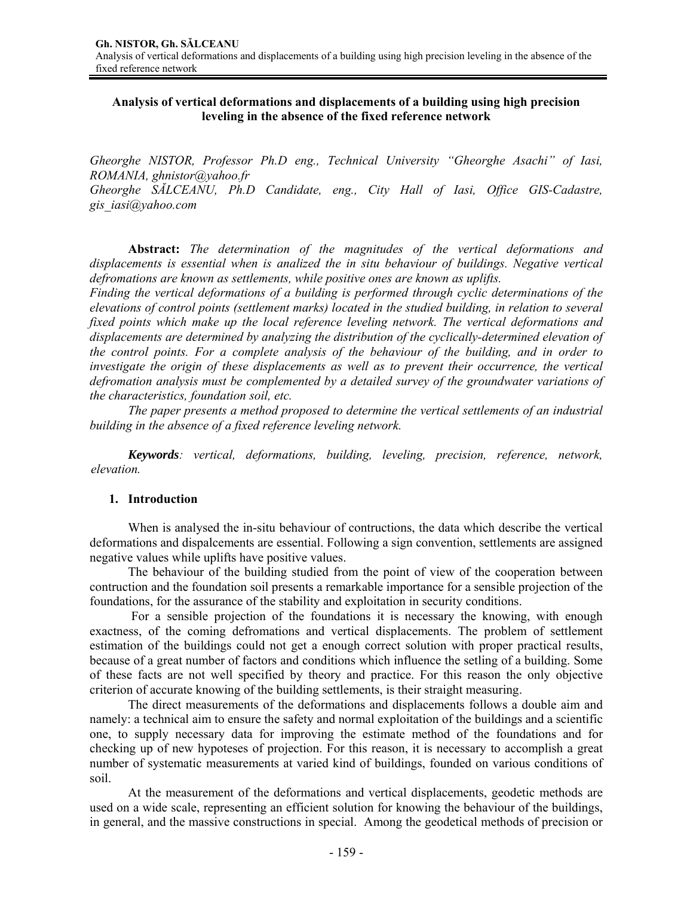# **Analysis of vertical deformations and displacements of a building using high precision leveling in the absence of the fixed reference network**

*Gheorghe NISTOR, Professor Ph.D eng., Technical University "Gheorghe Asachi" of Iasi, ROMANIA, ghnistor@yahoo.fr Gheorghe SĂLCEANU, Ph.D Candidate, eng., City Hall of Iasi, Office GIS-Cadastre, gis\_iasi@yahoo.com* 

**Abstract:** *The determination of the magnitudes of the vertical deformations and displacements is essential when is analized the in situ behaviour of buildings. Negative vertical defromations are known as settlements, while positive ones are known as uplifts.* 

*Finding the vertical deformations of a building is performed through cyclic determinations of the elevations of control points (settlement marks) located in the studied building, in relation to several fixed points which make up the local reference leveling network. The vertical deformations and displacements are determined by analyzing the distribution of the cyclically-determined elevation of the control points. For a complete analysis of the behaviour of the building, and in order to investigate the origin of these displacements as well as to prevent their occurrence, the vertical defromation analysis must be complemented by a detailed survey of the groundwater variations of the characteristics, foundation soil, etc.* 

 *The paper presents a method proposed to determine the vertical settlements of an industrial building in the absence of a fixed reference leveling network.* 

*Keywords: vertical, deformations, building, leveling, precision, reference, network, elevation.* 

## **1. Introduction**

 When is analysed the in-situ behaviour of contructions, the data which describe the vertical deformations and dispalcements are essential. Following a sign convention, settlements are assigned negative values while uplifts have positive values.

 The behaviour of the building studied from the point of view of the cooperation between contruction and the foundation soil presents a remarkable importance for a sensible projection of the foundations, for the assurance of the stability and exploitation in security conditions.

 For a sensible projection of the foundations it is necessary the knowing, with enough exactness, of the coming defromations and vertical displacements. The problem of settlement estimation of the buildings could not get a enough correct solution with proper practical results, because of a great number of factors and conditions which influence the setling of a building. Some of these facts are not well specified by theory and practice. For this reason the only objective criterion of accurate knowing of the building settlements, is their straight measuring.

 The direct measurements of the deformations and displacements follows a double aim and namely: a technical aim to ensure the safety and normal exploitation of the buildings and a scientific one, to supply necessary data for improving the estimate method of the foundations and for checking up of new hypoteses of projection. For this reason, it is necessary to accomplish a great number of systematic measurements at varied kind of buildings, founded on various conditions of soil.

 At the measurement of the deformations and vertical displacements, geodetic methods are used on a wide scale, representing an efficient solution for knowing the behaviour of the buildings, in general, and the massive constructions in special. Among the geodetical methods of precision or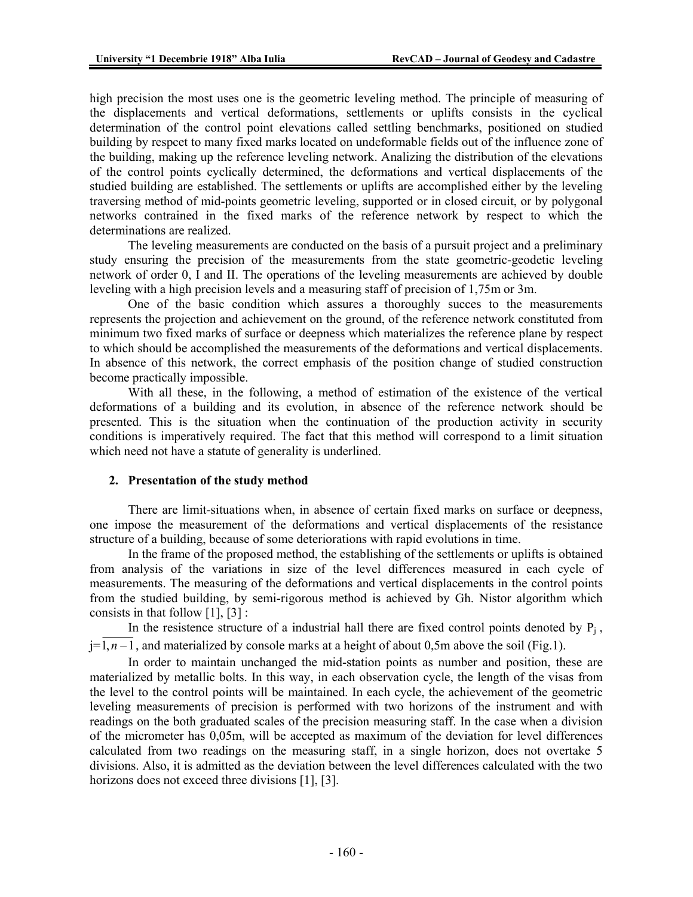high precision the most uses one is the geometric leveling method. The principle of measuring of the displacements and vertical deformations, settlements or uplifts consists in the cyclical determination of the control point elevations called settling benchmarks, positioned on studied building by respcet to many fixed marks located on undeformable fields out of the influence zone of the building, making up the reference leveling network. Analizing the distribution of the elevations of the control points cyclically determined, the deformations and vertical displacements of the studied building are established. The settlements or uplifts are accomplished either by the leveling traversing method of mid-points geometric leveling, supported or in closed circuit, or by polygonal networks contrained in the fixed marks of the reference network by respect to which the determinations are realized.

 The leveling measurements are conducted on the basis of a pursuit project and a preliminary study ensuring the precision of the measurements from the state geometric-geodetic leveling network of order 0, I and II. The operations of the leveling measurements are achieved by double leveling with a high precision levels and a measuring staff of precision of 1,75m or 3m.

 One of the basic condition which assures a thoroughly succes to the measurements represents the projection and achievement on the ground, of the reference network constituted from minimum two fixed marks of surface or deepness which materializes the reference plane by respect to which should be accomplished the measurements of the deformations and vertical displacements. In absence of this network, the correct emphasis of the position change of studied construction become practically impossible.

With all these, in the following, a method of estimation of the existence of the vertical deformations of a building and its evolution, in absence of the reference network should be presented. This is the situation when the continuation of the production activity in security conditions is imperatively required. The fact that this method will correspond to a limit situation which need not have a statute of generality is underlined.

## **2. Presentation of the study method**

There are limit-situations when, in absence of certain fixed marks on surface or deepness, one impose the measurement of the deformations and vertical displacements of the resistance structure of a building, because of some deteriorations with rapid evolutions in time.

In the frame of the proposed method, the establishing of the settlements or uplifts is obtained from analysis of the variations in size of the level differences measured in each cycle of measurements. The measuring of the deformations and vertical displacements in the control points from the studied building, by semi-rigorous method is achieved by Gh. Nistor algorithm which consists in that follow [1], [3] :

In the resistence structure of a industrial hall there are fixed control points denoted by  $P_i$ , j=1, *n* −1, and materialized by console marks at a height of about 0,5m above the soil (Fig.1).

In order to maintain unchanged the mid-station points as number and position, these are materialized by metallic bolts. In this way, in each observation cycle, the length of the visas from the level to the control points will be maintained. In each cycle, the achievement of the geometric leveling measurements of precision is performed with two horizons of the instrument and with readings on the both graduated scales of the precision measuring staff. In the case when a division of the micrometer has 0,05m, will be accepted as maximum of the deviation for level differences calculated from two readings on the measuring staff, in a single horizon, does not overtake 5 divisions. Also, it is admitted as the deviation between the level differences calculated with the two horizons does not exceed three divisions [1], [3].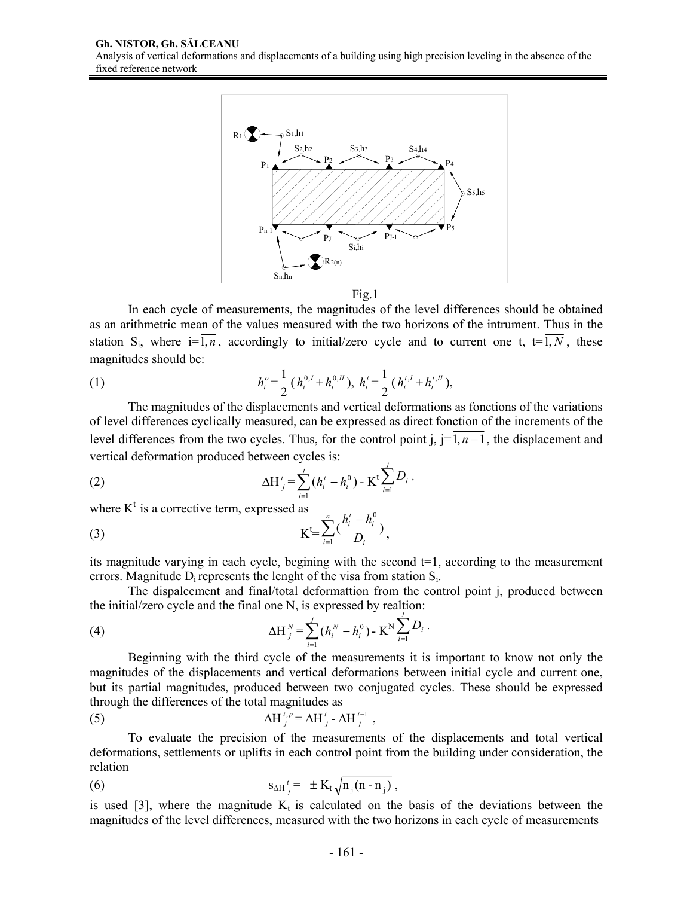

Fig.1

 In each cycle of measurements, the magnitudes of the level differences should be obtained as an arithmetric mean of the values measured with the two horizons of the intrument. Thus in the station S<sub>i</sub>, where  $i=\overline{1,n}$ , accordingly to initial/zero cycle and to current one t,  $t=\overline{1,N}$ , these magnitudes should be:

(1) 
$$
h_i^o = \frac{1}{2} (h_i^{0,I} + h_i^{0,H}), \ h_i^t = \frac{1}{2} (h_i^{t,I} + h_i^{t,H}),
$$

The magnitudes of the displacements and vertical deformations as fonctions of the variations of level differences cyclically measured, can be expressed as direct fonction of the increments of the level differences from the two cycles. Thus, for the control point j,  $j=1, n-1$ , the displacement and vertical deformation produced between cycles is: *j*

(2) 
$$
\Delta H'_{j} = \sum_{i=1}^{j} (h'_{i} - h^{0}_{i}) - K^{t} \sum_{i=1}^{j} D_{i},
$$

where  $K^t$  is a corrective term, expressed as

(3) 
$$
K^{\mathsf{L}} = \sum_{i=1}^{n} \left( \frac{h_i^t - h_i^0}{D_i} \right),
$$

its magnitude varying in each cycle, begining with the second  $t=1$ , according to the measurement errors. Magnitude  $D_i$  represents the lenght of the visa from station  $S_i$ .

 The dispalcement and final/total deformattion from the control point j, produced between the initial/zero cycle and the final one N, is expressed by realtion:

.

(4) 
$$
\Delta H_{j}^{N} = \sum_{i=1}^{j} (h_{i}^{N} - h_{i}^{0}) - K^{N} \sum_{i=1}^{j} D_{i}
$$

 Beginning with the third cycle of the measurements it is important to know not only the magnitudes of the displacements and vertical deformations between initial cycle and current one, but its partial magnitudes, produced between two conjugated cycles. These should be expressed through the differences of the total magnitudes as

(5) 
$$
\Delta H_j^{t,p} = \Delta H_j^t - \Delta H_j^{t-1},
$$

 To evaluate the precision of the measurements of the displacements and total vertical deformations, settlements or uplifts in each control point from the building under consideration, the relation

(6) 
$$
S_{\Delta H}{}_{j}^{t} = \pm K_{t} \sqrt{n_{j}(n-n_{j})},
$$

is used [3], where the magnitude  $K_t$  is calculated on the basis of the deviations between the magnitudes of the level differences, measured with the two horizons in each cycle of measurements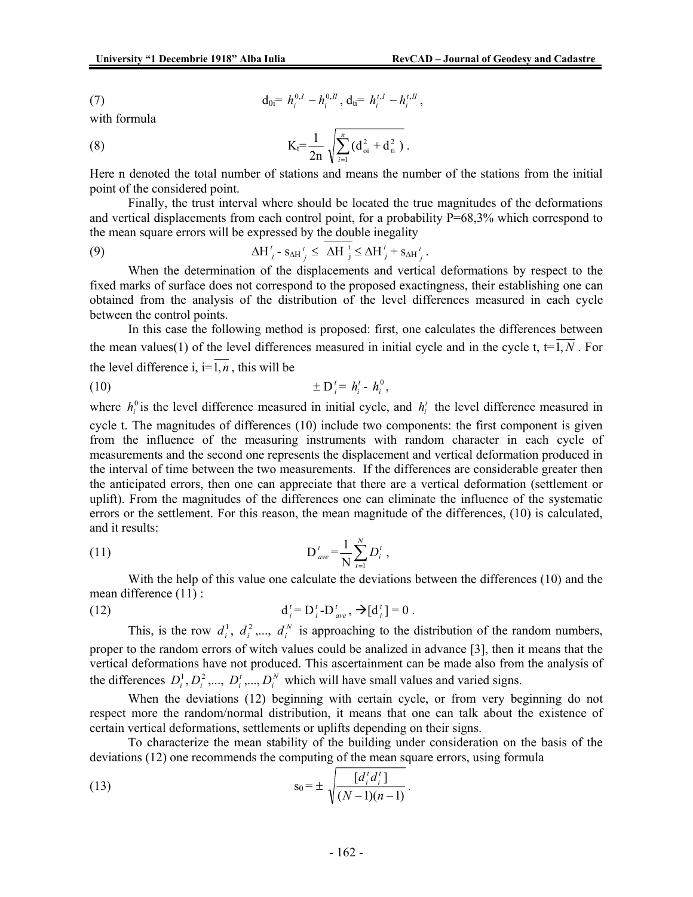(7) 
$$
d_{0i} = h_i^{0,I} - h_i^{0,I}, d_{ti} = h_i^{t,I} - h_i^{t,I},
$$

with formula

(8) 
$$
K_t = \frac{1}{2n} \sqrt{\sum_{i=1}^n (d_{oi}^2 + d_{ti}^2)}.
$$

Here n denoted the total number of stations and means the number of the stations from the initial point of the considered point.

 Finally, the trust interval where should be located the true magnitudes of the deformations and vertical displacements from each control point, for a probability P=68,3% which correspond to the mean square errors will be expressed by the double inegality

(9) 
$$
\Delta H'_{j} - s_{\Delta H'_{j}} \leq \Delta H_{j}^{t} \leq \Delta H'_{j} + s_{\Delta H'_{j}}.
$$

 When the determination of the displacements and vertical deformations by respect to the fixed marks of surface does not correspond to the proposed exactingness, their establishing one can obtained from the analysis of the distribution of the level differences measured in each cycle between the control points.

 In this case the following method is proposed: first, one calculates the differences between the mean values(1) of the level differences measured in initial cycle and in the cycle t,  $t = 1, N$ . For the level difference i,  $i = \overline{1, n}$ , this will be

(10) ± D*<sup>t</sup> <sup>i</sup>* = *<sup>t</sup> <sup>i</sup> h* - <sup>0</sup> *<sup>i</sup> h* ,

where  $h_i^0$  is the level difference measured in initial cycle, and  $h_i^t$  the level difference measured in cycle t. The magnitudes of differences (10) include two components: the first component is given from the influence of the measuring instruments with random character in each cycle of measurements and the second one represents the displacement and vertical deformation produced in the interval of time between the two measurements. If the differences are considerable greater then the anticipated errors, then one can appreciate that there are a vertical deformation (settlement or uplift). From the magnitudes of the differences one can eliminate the influence of the systematic errors or the settlement. For this reason, the mean magnitude of the differences, (10) is calculated, and it results:

(11) 
$$
D_{ave}^t = \frac{1}{N} \sum_{t=1}^N D_i^t,
$$

With the help of this value one calculate the deviations between the differences (10) and the mean difference (11) :

(12) 
$$
d_i^t = D_i^t - D_{ave}^t, \; \to [d_i^t] = 0.
$$

This, is the row  $d_i^1, d_i^2, \ldots, d_i^N$  is approaching to the distribution of the random numbers, proper to the random errors of witch values could be analized in advance [3], then it means that the vertical deformations have not produced. This ascertainment can be made also from the analysis of the differences  $D_i^1, D_i^2, ..., D_i^T, ..., D_i^N$  which will have small values and varied signs.

When the deviations (12) beginning with certain cycle, or from very beginning do not respect more the random/normal distribution, it means that one can talk about the existence of certain vertical deformations, settlements or uplifts depending on their signs.

To characterize the mean stability of the building under consideration on the basis of the deviations (12) one recommends the computing of the mean square errors, using formula

(13) 
$$
s_0 = \pm \sqrt{\frac{[d'_i d'_i]}{(N-1)(n-1)}}.
$$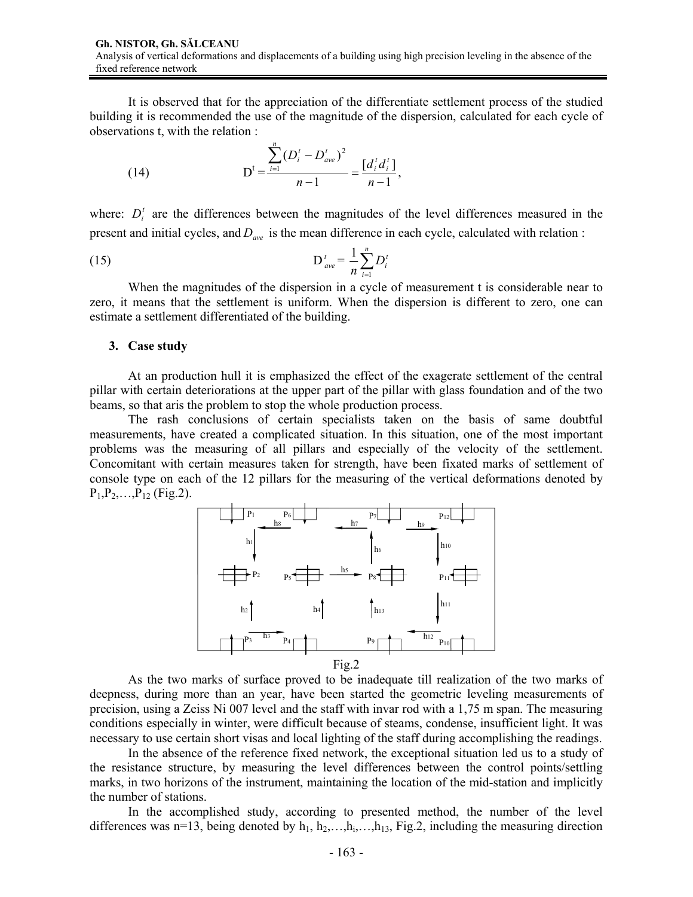It is observed that for the appreciation of the differentiate settlement process of the studied building it is recommended the use of the magnitude of the dispersion, calculated for each cycle of observations t, with the relation :

(14) 
$$
D^{t} = \frac{\sum_{i=1}^{n} (D_{i}^{t} - D_{ave}^{t})^{2}}{n-1} = \frac{[d_{i}^{t} d_{i}^{t}]}{n-1},
$$

where:  $D_i^t$  are the differences between the magnitudes of the level differences measured in the present and initial cycles, and  $D_{ave}$  is the mean difference in each cycle, calculated with relation :

(15) 
$$
D'_{ave} = \frac{1}{n} \sum_{i=1}^{n} D'_i
$$

When the magnitudes of the dispersion in a cycle of measurement t is considerable near to zero, it means that the settlement is uniform. When the dispersion is different to zero, one can estimate a settlement differentiated of the building.

## **3. Case study**

 At an production hull it is emphasized the effect of the exagerate settlement of the central pillar with certain deteriorations at the upper part of the pillar with glass foundation and of the two beams, so that aris the problem to stop the whole production process.

 The rash conclusions of certain specialists taken on the basis of same doubtful measurements, have created a complicated situation. In this situation, one of the most important problems was the measuring of all pillars and especially of the velocity of the settlement. Concomitant with certain measures taken for strength, have been fixated marks of settlement of console type on each of the 12 pillars for the measuring of the vertical deformations denoted by  $P_1, P_2, \ldots, P_{12}$  (Fig.2).



 As the two marks of surface proved to be inadequate till realization of the two marks of deepness, during more than an year, have been started the geometric leveling measurements of precision, using a Zeiss Ni 007 level and the staff with invar rod with a 1,75 m span. The measuring conditions especially in winter, were difficult because of steams, condense, insufficient light. It was necessary to use certain short visas and local lighting of the staff during accomplishing the readings.

 In the absence of the reference fixed network, the exceptional situation led us to a study of the resistance structure, by measuring the level differences between the control points/settling marks, in two horizons of the instrument, maintaining the location of the mid-station and implicitly the number of stations.

 In the accomplished study, according to presented method, the number of the level differences was n=13, being denoted by  $h_1, h_2, \ldots, h_{13}$ , Fig.2, including the measuring direction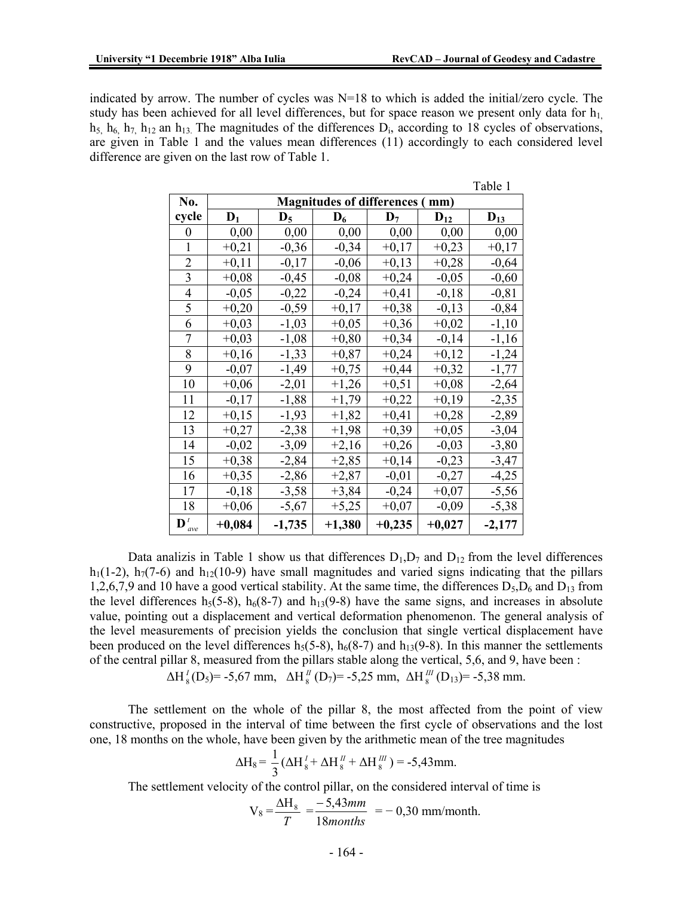indicated by arrow. The number of cycles was  $N=18$  to which is added the initial/zero cycle. The study has been achieved for all level differences, but for space reason we present only data for  $h_1$  $h_5$ ,  $h_6$ ,  $h_7$ ,  $h_{12}$  an  $h_{13}$ . The magnitudes of the differences  $D_i$ , according to 18 cycles of observations, are given in Table 1 and the values mean differences (11) accordingly to each considered level difference are given on the last row of Table 1.

|                                  |                                           |                |          |                |          | Table 1  |  |  |  |  |
|----------------------------------|-------------------------------------------|----------------|----------|----------------|----------|----------|--|--|--|--|
| No.                              | <b>Magnitudes of differences (</b><br>mm) |                |          |                |          |          |  |  |  |  |
| cycle                            | $D_1$                                     | $\mathbf{D}_5$ | $D_6$    | $\mathbf{D}_7$ | $D_{12}$ | $D_{13}$ |  |  |  |  |
| 0                                | 0,00                                      | 0,00           | 0,00     | 0,00           | 0,00     | 0,00     |  |  |  |  |
| $\mathbf{1}$                     | $+0,21$                                   | $-0,36$        | $-0,34$  | $+0,17$        | $+0,23$  | $+0,17$  |  |  |  |  |
| $\overline{c}$                   | $+0,11$                                   | $-0,17$        | $-0,06$  | $+0,13$        | $+0,28$  | $-0,64$  |  |  |  |  |
| 3                                | $+0,08$                                   | $-0,45$        | $-0,08$  | $+0,24$        | $-0,05$  | $-0,60$  |  |  |  |  |
| $\overline{4}$                   | $-0,05$                                   | $-0,22$        | $-0,24$  | $+0,41$        | $-0,18$  | $-0,81$  |  |  |  |  |
| 5                                | $+0,20$                                   | $-0,59$        | $+0,17$  | $+0,38$        | $-0,13$  | $-0,84$  |  |  |  |  |
| 6                                | $+0,03$                                   | $-1,03$        | $+0,05$  | $+0,36$        | $+0,02$  | $-1,10$  |  |  |  |  |
| 7                                | $+0,03$                                   | $-1,08$        | $+0,80$  | $+0,34$        | $-0,14$  | $-1,16$  |  |  |  |  |
| 8                                | $+0,16$                                   | $-1,33$        | $+0,87$  | $+0,24$        | $+0,12$  | $-1,24$  |  |  |  |  |
| 9                                | $-0,07$                                   | $-1,49$        | $+0,75$  | $+0,44$        | $+0,32$  | $-1,77$  |  |  |  |  |
| 10                               | $+0,06$                                   | $-2,01$        | $+1,26$  | $+0,51$        | $+0,08$  | $-2,64$  |  |  |  |  |
| 11                               | $-0,17$                                   | $-1,88$        | $+1,79$  | $+0,22$        | $+0,19$  | $-2,35$  |  |  |  |  |
| 12                               | $+0,15$                                   | $-1,93$        | $+1,82$  | $+0,41$        | $+0,28$  | $-2,89$  |  |  |  |  |
| 13                               | $+0,27$                                   | $-2,38$        | $+1,98$  | $+0,39$        | $+0,05$  | $-3,04$  |  |  |  |  |
| 14                               | $-0,02$                                   | $-3,09$        | $+2,16$  | $+0,26$        | $-0,03$  | $-3,80$  |  |  |  |  |
| 15                               | $+0,38$                                   | $-2,84$        | $+2,85$  | $+0,14$        | $-0,23$  | $-3,47$  |  |  |  |  |
| 16                               | $+0,35$                                   | $-2,86$        | $+2,87$  | $-0,01$        | $-0,27$  | $-4,25$  |  |  |  |  |
| 17                               | $-0,18$                                   | $-3,58$        | $+3,84$  | $-0,24$        | $+0,07$  | $-5,56$  |  |  |  |  |
| 18                               | $+0,06$                                   | $-5,67$        | $+5,25$  | $+0,07$        | $-0,09$  | $-5,38$  |  |  |  |  |
| $\mathbf{D}^{\mathrm{t}}$<br>ave | $+0,084$                                  | $-1,735$       | $+1,380$ | $+0,235$       | $+0,027$ | $-2,177$ |  |  |  |  |

Data analizis in Table 1 show us that differences  $D_1, D_7$  and  $D_{12}$  from the level differences  $h_1(1-2)$ ,  $h_7(7-6)$  and  $h_{12}(10-9)$  have small magnitudes and varied signs indicating that the pillars 1,2,6,7,9 and 10 have a good vertical stability. At the same time, the differences  $D_5$ , $D_6$  and  $D_{13}$  from the level differences h<sub>5</sub>(5-8), h<sub>6</sub>(8-7) and h<sub>13</sub>(9-8) have the same signs, and increases in absolute value, pointing out a displacement and vertical deformation phenomenon. The general analysis of the level measurements of precision yields the conclusion that single vertical displacement have been produced on the level differences  $h_5(5-8)$ ,  $h_6(8-7)$  and  $h_{13}(9-8)$ . In this manner the settlements of the central pillar 8, measured from the pillars stable along the vertical, 5,6, and 9, have been :

$$
\Delta H_8^I(D_5) = -5{,}67
$$
 mm,  $\Delta H_8^I(D_7) = -5{,}25$  mm,  $\Delta H_8^{III}(D_{13}) = -5{,}38$  mm.

The settlement on the whole of the pillar 8, the most affected from the point of view constructive, proposed in the interval of time between the first cycle of observations and the lost one, 18 months on the whole, have been given by the arithmetic mean of the tree magnitudes

$$
\Delta H_8 = \frac{1}{3} \left( \Delta H_8^I + \Delta H_8^{II} + \Delta H_8^{III} \right) = -5,43 \text{mm}.
$$

The settlement velocity of the control pillar, on the considered interval of time is

$$
V_8 = \frac{\Delta H_8}{T} = \frac{-5,43mm}{18 months} = -0,30 mm/month.
$$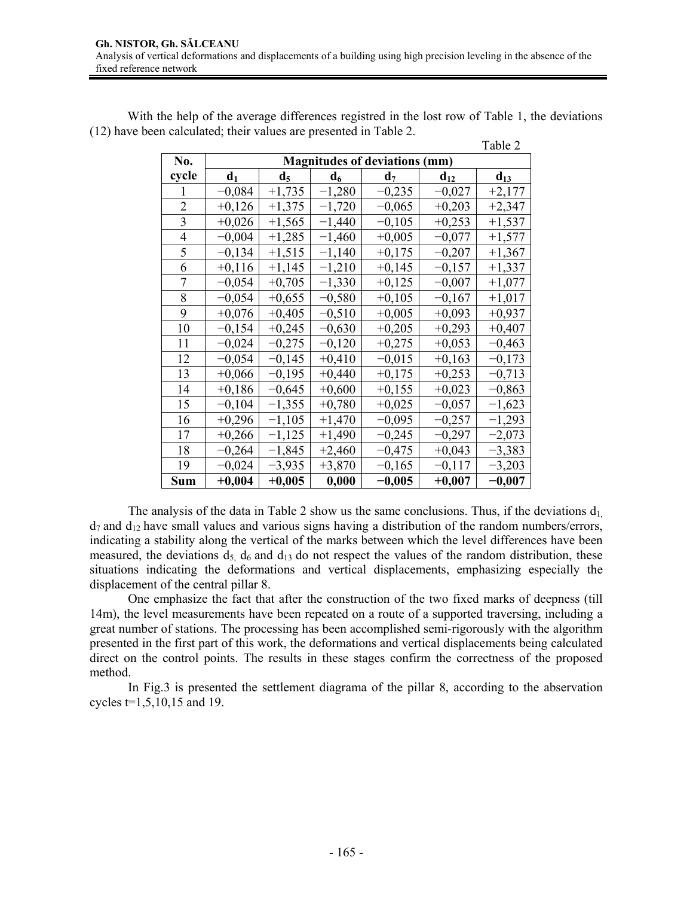With the help of the average differences registred in the lost row of Table 1, the deviations (12) have been calculated; their values are presented in Table 2.

|                |                                      |          |          |                |          | Table 2  |  |  |  |
|----------------|--------------------------------------|----------|----------|----------------|----------|----------|--|--|--|
| No.            | <b>Magnitudes of deviations (mm)</b> |          |          |                |          |          |  |  |  |
| cycle          | d <sub>1</sub>                       | $d_5$    | $d_6$    | d <sub>7</sub> | $d_{12}$ | $d_{13}$ |  |  |  |
| 1              | $-0,084$                             | $+1,735$ | $-1,280$ | $-0,235$       | $-0,027$ | $+2,177$ |  |  |  |
| $\overline{2}$ | $+0,126$                             | $+1,375$ | $-1,720$ | $-0,065$       | $+0,203$ | $+2,347$ |  |  |  |
| 3              | $+0,026$                             | $+1,565$ | $-1,440$ | $-0,105$       | $+0,253$ | $+1,537$ |  |  |  |
| 4              | $-0,004$                             | $+1,285$ | $-1,460$ | $+0,005$       | $-0,077$ | $+1,577$ |  |  |  |
| 5              | $-0,134$                             | $+1,515$ | $-1,140$ | $+0,175$       | $-0,207$ | $+1,367$ |  |  |  |
| 6              | $+0,116$                             | $+1,145$ | $-1,210$ | $+0,145$       | $-0,157$ | $+1,337$ |  |  |  |
| 7              | $-0,054$                             | $+0,705$ | $-1,330$ | $+0,125$       | $-0,007$ | $+1,077$ |  |  |  |
| 8              | $-0,054$                             | $+0,655$ | $-0,580$ | $+0,105$       | $-0,167$ | $+1,017$ |  |  |  |
| 9              | $+0,076$                             | $+0,405$ | $-0,510$ | $+0,005$       | $+0,093$ | $+0,937$ |  |  |  |
| 10             | $-0,154$                             | $+0,245$ | $-0,630$ | $+0,205$       | $+0,293$ | $+0,407$ |  |  |  |
| 11             | $-0,024$                             | $-0,275$ | $-0,120$ | $+0,275$       | $+0,053$ | $-0,463$ |  |  |  |
| 12             | $-0,054$                             | $-0,145$ | $+0,410$ | $-0,015$       | $+0,163$ | $-0,173$ |  |  |  |
| 13             | $+0,066$                             | $-0,195$ | $+0,440$ | $+0,175$       | $+0,253$ | $-0,713$ |  |  |  |
| 14             | $+0,186$                             | $-0,645$ | $+0,600$ | $+0,155$       | $+0,023$ | $-0,863$ |  |  |  |
| 15             | $-0,104$                             | $-1,355$ | $+0,780$ | $+0,025$       | $-0,057$ | $-1,623$ |  |  |  |
| 16             | $+0,296$                             | $-1,105$ | $+1,470$ | $-0,095$       | $-0,257$ | $-1,293$ |  |  |  |
| 17             | $+0,266$                             | $-1,125$ | $+1,490$ | $-0,245$       | $-0,297$ | $-2,073$ |  |  |  |
| 18             | $-0,264$                             | $-1,845$ | $+2,460$ | $-0,475$       | $+0,043$ | $-3,383$ |  |  |  |
| 19             | $-0,024$                             | $-3,935$ | $+3,870$ | $-0,165$       | $-0,117$ | $-3,203$ |  |  |  |
| <b>Sum</b>     | $+0,004$                             | $+0,005$ | 0,000    | $-0,005$       | $+0,007$ | $-0,007$ |  |  |  |

The analysis of the data in Table 2 show us the same conclusions. Thus, if the deviations  $d_1$  $d_7$  and  $d_{12}$  have small values and various signs having a distribution of the random numbers/errors, indicating a stability along the vertical of the marks between which the level differences have been measured, the deviations  $d_5$ ,  $d_6$  and  $d_{13}$  do not respect the values of the random distribution, these situations indicating the deformations and vertical displacements, emphasizing especially the displacement of the central pillar 8.

One emphasize the fact that after the construction of the two fixed marks of deepness (till 14m), the level measurements have been repeated on a route of a supported traversing, including a great number of stations. The processing has been accomplished semi-rigorously with the algorithm presented in the first part of this work, the deformations and vertical displacements being calculated direct on the control points. The results in these stages confirm the correctness of the proposed method.

 In Fig.3 is presented the settlement diagrama of the pillar 8, according to the abservation cycles t=1,5,10,15 and 19.